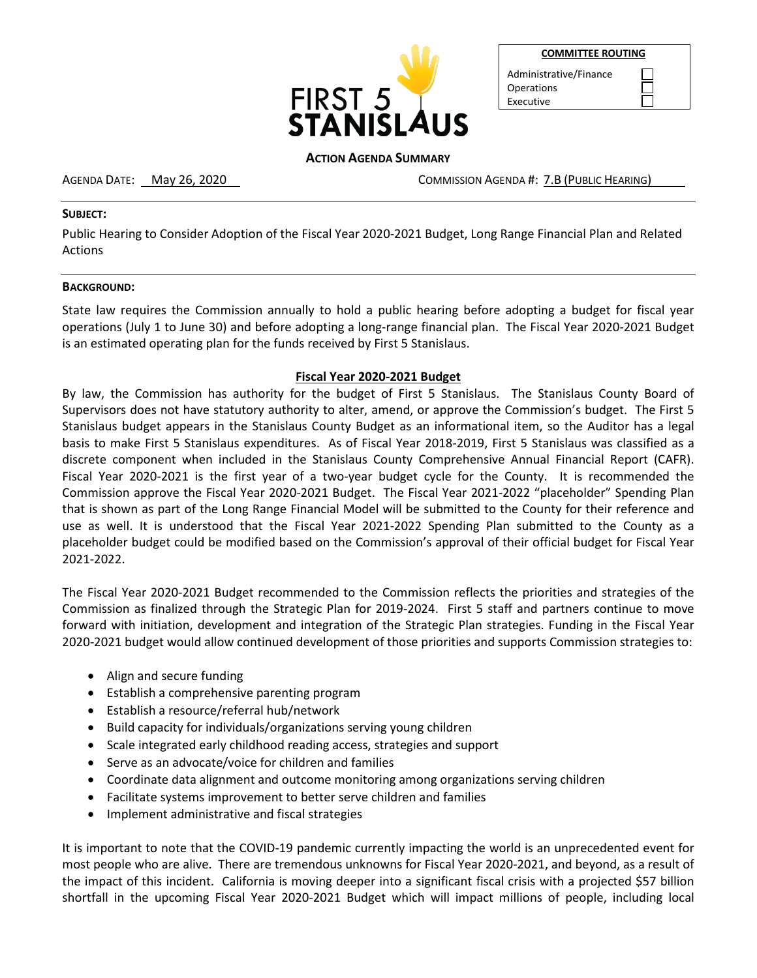

|--|

| Administrative/Finance |
|------------------------|
| Operations             |
| Executive              |

## **ACTION AGENDA SUMMARY**

AGENDA DATE: May 26, 2020 COMMISSION AGENDA #: 7.B (PUBLIC HEARING)

#### **SUBJECT:**

Public Hearing to Consider Adoption of the Fiscal Year 2020-2021 Budget, Long Range Financial Plan and Related Actions

#### **BACKGROUND:**

State law requires the Commission annually to hold a public hearing before adopting a budget for fiscal year operations (July 1 to June 30) and before adopting a long-range financial plan. The Fiscal Year 2020-2021 Budget is an estimated operating plan for the funds received by First 5 Stanislaus.

## **Fiscal Year 2020-2021 Budget**

By law, the Commission has authority for the budget of First 5 Stanislaus. The Stanislaus County Board of Supervisors does not have statutory authority to alter, amend, or approve the Commission's budget. The First 5 Stanislaus budget appears in the Stanislaus County Budget as an informational item, so the Auditor has a legal basis to make First 5 Stanislaus expenditures. As of Fiscal Year 2018-2019, First 5 Stanislaus was classified as a discrete component when included in the Stanislaus County Comprehensive Annual Financial Report (CAFR). Fiscal Year 2020-2021 is the first year of a two-year budget cycle for the County. It is recommended the Commission approve the Fiscal Year 2020-2021 Budget. The Fiscal Year 2021-2022 "placeholder" Spending Plan that is shown as part of the Long Range Financial Model will be submitted to the County for their reference and use as well. It is understood that the Fiscal Year 2021-2022 Spending Plan submitted to the County as a placeholder budget could be modified based on the Commission's approval of their official budget for Fiscal Year 2021-2022.

The Fiscal Year 2020-2021 Budget recommended to the Commission reflects the priorities and strategies of the Commission as finalized through the Strategic Plan for 2019-2024. First 5 staff and partners continue to move forward with initiation, development and integration of the Strategic Plan strategies. Funding in the Fiscal Year 2020-2021 budget would allow continued development of those priorities and supports Commission strategies to:

- Align and secure funding
- Establish a comprehensive parenting program
- Establish a resource/referral hub/network
- Build capacity for individuals/organizations serving young children
- Scale integrated early childhood reading access, strategies and support
- Serve as an advocate/voice for children and families
- Coordinate data alignment and outcome monitoring among organizations serving children
- Facilitate systems improvement to better serve children and families
- Implement administrative and fiscal strategies

It is important to note that the COVID-19 pandemic currently impacting the world is an unprecedented event for most people who are alive. There are tremendous unknowns for Fiscal Year 2020-2021, and beyond, as a result of the impact of this incident. California is moving deeper into a significant fiscal crisis with a projected \$57 billion shortfall in the upcoming Fiscal Year 2020-2021 Budget which will impact millions of people, including local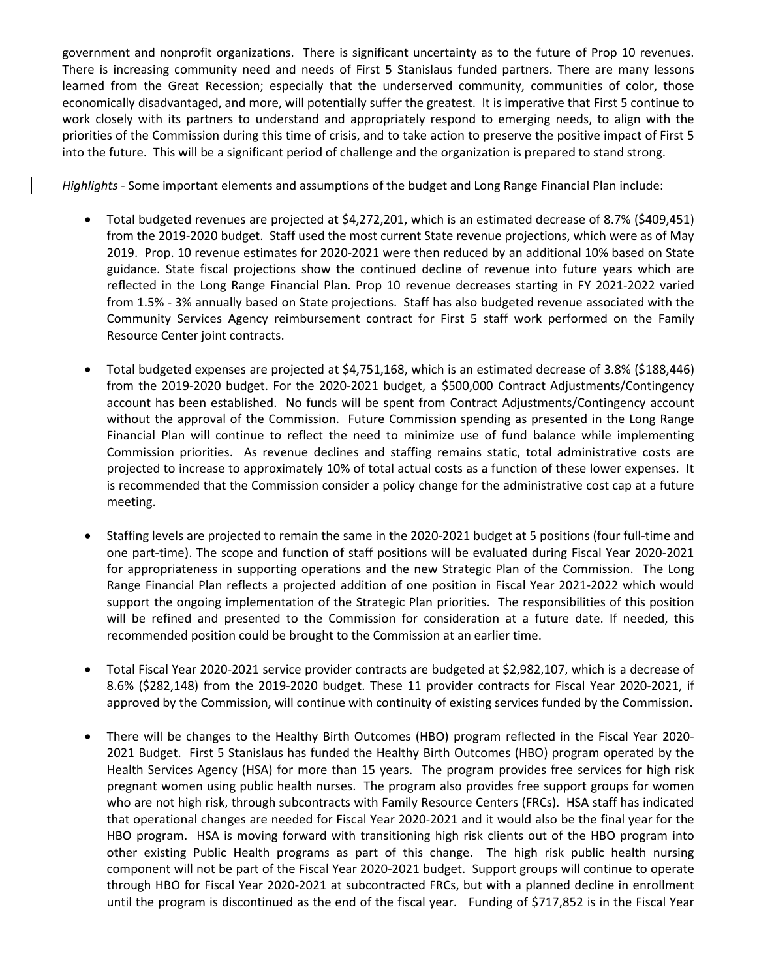government and nonprofit organizations. There is significant uncertainty as to the future of Prop 10 revenues. There is increasing community need and needs of First 5 Stanislaus funded partners. There are many lessons learned from the Great Recession; especially that the underserved community, communities of color, those economically disadvantaged, and more, will potentially suffer the greatest. It is imperative that First 5 continue to work closely with its partners to understand and appropriately respond to emerging needs, to align with the priorities of the Commission during this time of crisis, and to take action to preserve the positive impact of First 5 into the future. This will be a significant period of challenge and the organization is prepared to stand strong.

*Highlights* - Some important elements and assumptions of the budget and Long Range Financial Plan include:

- Total budgeted revenues are projected at \$4,272,201, which is an estimated decrease of 8.7% (\$409,451) from the 2019-2020 budget. Staff used the most current State revenue projections, which were as of May 2019. Prop. 10 revenue estimates for 2020-2021 were then reduced by an additional 10% based on State guidance. State fiscal projections show the continued decline of revenue into future years which are reflected in the Long Range Financial Plan. Prop 10 revenue decreases starting in FY 2021-2022 varied from 1.5% - 3% annually based on State projections. Staff has also budgeted revenue associated with the Community Services Agency reimbursement contract for First 5 staff work performed on the Family Resource Center joint contracts.
- Total budgeted expenses are projected at \$4,751,168, which is an estimated decrease of 3.8% (\$188,446) from the 2019-2020 budget. For the 2020-2021 budget, a \$500,000 Contract Adjustments/Contingency account has been established. No funds will be spent from Contract Adjustments/Contingency account without the approval of the Commission. Future Commission spending as presented in the Long Range Financial Plan will continue to reflect the need to minimize use of fund balance while implementing Commission priorities. As revenue declines and staffing remains static, total administrative costs are projected to increase to approximately 10% of total actual costs as a function of these lower expenses. It is recommended that the Commission consider a policy change for the administrative cost cap at a future meeting.
- Staffing levels are projected to remain the same in the 2020-2021 budget at 5 positions (four full-time and one part-time). The scope and function of staff positions will be evaluated during Fiscal Year 2020-2021 for appropriateness in supporting operations and the new Strategic Plan of the Commission. The Long Range Financial Plan reflects a projected addition of one position in Fiscal Year 2021-2022 which would support the ongoing implementation of the Strategic Plan priorities. The responsibilities of this position will be refined and presented to the Commission for consideration at a future date. If needed, this recommended position could be brought to the Commission at an earlier time.
- Total Fiscal Year 2020-2021 service provider contracts are budgeted at \$2,982,107, which is a decrease of 8.6% (\$282,148) from the 2019-2020 budget. These 11 provider contracts for Fiscal Year 2020-2021, if approved by the Commission, will continue with continuity of existing services funded by the Commission.
- There will be changes to the Healthy Birth Outcomes (HBO) program reflected in the Fiscal Year 2020- 2021 Budget. First 5 Stanislaus has funded the Healthy Birth Outcomes (HBO) program operated by the Health Services Agency (HSA) for more than 15 years. The program provides free services for high risk pregnant women using public health nurses. The program also provides free support groups for women who are not high risk, through subcontracts with Family Resource Centers (FRCs). HSA staff has indicated that operational changes are needed for Fiscal Year 2020-2021 and it would also be the final year for the HBO program. HSA is moving forward with transitioning high risk clients out of the HBO program into other existing Public Health programs as part of this change. The high risk public health nursing component will not be part of the Fiscal Year 2020-2021 budget. Support groups will continue to operate through HBO for Fiscal Year 2020-2021 at subcontracted FRCs, but with a planned decline in enrollment until the program is discontinued as the end of the fiscal year. Funding of \$717,852 is in the Fiscal Year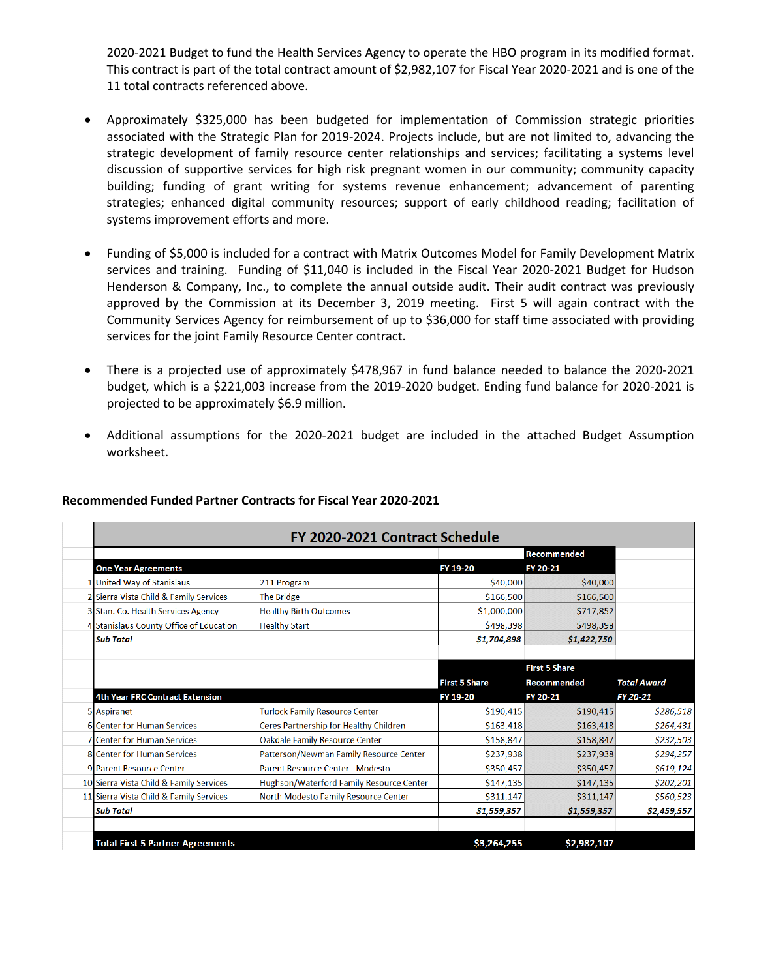2020-2021 Budget to fund the Health Services Agency to operate the HBO program in its modified format. This contract is part of the total contract amount of \$2,982,107 for Fiscal Year 2020-2021 and is one of the 11 total contracts referenced above.

- Approximately \$325,000 has been budgeted for implementation of Commission strategic priorities associated with the Strategic Plan for 2019-2024. Projects include, but are not limited to, advancing the strategic development of family resource center relationships and services; facilitating a systems level discussion of supportive services for high risk pregnant women in our community; community capacity building; funding of grant writing for systems revenue enhancement; advancement of parenting strategies; enhanced digital community resources; support of early childhood reading; facilitation of systems improvement efforts and more.
- Funding of \$5,000 is included for a contract with Matrix Outcomes Model for Family Development Matrix services and training. Funding of \$11,040 is included in the Fiscal Year 2020-2021 Budget for Hudson Henderson & Company, Inc., to complete the annual outside audit. Their audit contract was previously approved by the Commission at its December 3, 2019 meeting. First 5 will again contract with the Community Services Agency for reimbursement of up to \$36,000 for staff time associated with providing services for the joint Family Resource Center contract.
- There is a projected use of approximately \$478,967 in fund balance needed to balance the 2020-2021 budget, which is a \$221,003 increase from the 2019-2020 budget. Ending fund balance for 2020-2021 is projected to be approximately \$6.9 million.
- Additional assumptions for the 2020-2021 budget are included in the attached Budget Assumption worksheet.

| FY 2020-2021 Contract Schedule          |                                          |                      |                      |                    |  |
|-----------------------------------------|------------------------------------------|----------------------|----------------------|--------------------|--|
|                                         |                                          |                      | Recommended          |                    |  |
| <b>One Year Agreements</b>              |                                          | FY 19-20             | FY 20-21             |                    |  |
| 1 United Way of Stanislaus              | 211 Program                              | \$40,000             | \$40,000             |                    |  |
| 2 Sierra Vista Child & Family Services  | The Bridge                               | \$166,500            | \$166,500            |                    |  |
| 3 Stan. Co. Health Services Agency      | <b>Healthy Birth Outcomes</b>            | \$1,000,000          | \$717,852            |                    |  |
| 4 Stanislaus County Office of Education | <b>Healthy Start</b>                     | \$498,398            | \$498,398            |                    |  |
| <b>Sub Total</b>                        |                                          | \$1,704,898          | \$1,422,750          |                    |  |
|                                         |                                          |                      | <b>First 5 Share</b> |                    |  |
|                                         |                                          | <b>First 5 Share</b> | <b>Recommended</b>   | <b>Total Award</b> |  |
| <b>4th Year FRC Contract Extension</b>  |                                          | FY 19-20             | FY 20-21             | FY 20-21           |  |
| 5 Aspiranet                             | <b>Turlock Family Resource Center</b>    | \$190,415            | \$190,415            | \$286,518          |  |
| <b>6</b> Center for Human Services      | Ceres Partnership for Healthy Children   | \$163,418            | \$163,418            | \$264,431          |  |
| <b>7 Center for Human Services</b>      | <b>Oakdale Family Resource Center</b>    | \$158,847            | \$158,847            | \$232,503          |  |
| <b>8 Center for Human Services</b>      | Patterson/Newman Family Resource Center  | \$237,938            | \$237,938            | \$294,257          |  |
| 9 Parent Resource Center                | Parent Resource Center - Modesto         | \$350,457            | \$350,457            | \$619,124          |  |
| 10 Sierra Vista Child & Family Services | Hughson/Waterford Family Resource Center | \$147,135            | \$147,135            | \$202,201          |  |
| 11 Sierra Vista Child & Family Services | North Modesto Family Resource Center     | \$311,147            | \$311,147            | \$560,523          |  |
| <b>Sub Total</b>                        |                                          | \$1,559,357          | \$1,559,357          | \$2,459,557        |  |
|                                         |                                          |                      |                      |                    |  |

## **Recommended Funded Partner Contracts for Fiscal Year 2020-2021**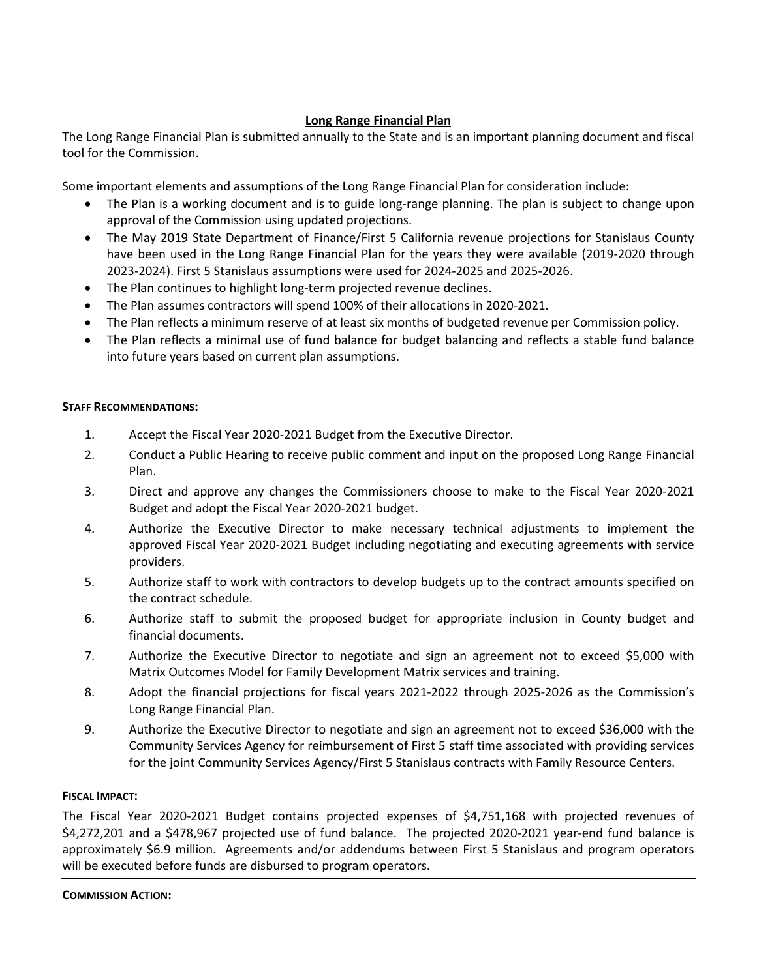# **Long Range Financial Plan**

The Long Range Financial Plan is submitted annually to the State and is an important planning document and fiscal tool for the Commission.

Some important elements and assumptions of the Long Range Financial Plan for consideration include:

- The Plan is a working document and is to guide long-range planning. The plan is subject to change upon approval of the Commission using updated projections.
- The May 2019 State Department of Finance/First 5 California revenue projections for Stanislaus County have been used in the Long Range Financial Plan for the years they were available (2019-2020 through 2023-2024). First 5 Stanislaus assumptions were used for 2024-2025 and 2025-2026.
- The Plan continues to highlight long-term projected revenue declines.
- The Plan assumes contractors will spend 100% of their allocations in 2020-2021.
- The Plan reflects a minimum reserve of at least six months of budgeted revenue per Commission policy.
- The Plan reflects a minimal use of fund balance for budget balancing and reflects a stable fund balance into future years based on current plan assumptions.

#### **STAFF RECOMMENDATIONS:**

- 1. Accept the Fiscal Year 2020-2021 Budget from the Executive Director.
- 2. Conduct a Public Hearing to receive public comment and input on the proposed Long Range Financial Plan.
- 3. Direct and approve any changes the Commissioners choose to make to the Fiscal Year 2020-2021 Budget and adopt the Fiscal Year 2020-2021 budget.
- 4. Authorize the Executive Director to make necessary technical adjustments to implement the approved Fiscal Year 2020-2021 Budget including negotiating and executing agreements with service providers.
- 5. Authorize staff to work with contractors to develop budgets up to the contract amounts specified on the contract schedule.
- 6. Authorize staff to submit the proposed budget for appropriate inclusion in County budget and financial documents.
- 7. Authorize the Executive Director to negotiate and sign an agreement not to exceed \$5,000 with Matrix Outcomes Model for Family Development Matrix services and training.
- 8. Adopt the financial projections for fiscal years 2021-2022 through 2025-2026 as the Commission's Long Range Financial Plan.
- 9. Authorize the Executive Director to negotiate and sign an agreement not to exceed \$36,000 with the Community Services Agency for reimbursement of First 5 staff time associated with providing services for the joint Community Services Agency/First 5 Stanislaus contracts with Family Resource Centers.

## **FISCAL IMPACT:**

The Fiscal Year 2020-2021 Budget contains projected expenses of \$4,751,168 with projected revenues of \$4,272,201 and a \$478,967 projected use of fund balance. The projected 2020-2021 year-end fund balance is approximately \$6.9 million. Agreements and/or addendums between First 5 Stanislaus and program operators will be executed before funds are disbursed to program operators.